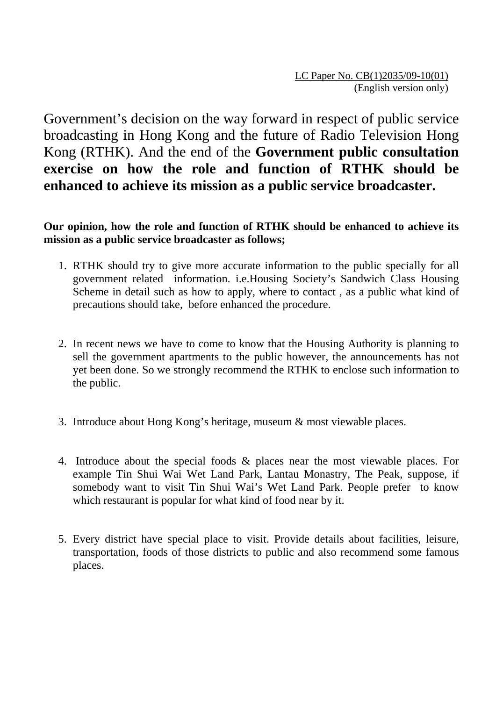Government's decision on the way forward in respect of public service broadcasting in Hong Kong and the future of Radio Television Hong Kong (RTHK). And the end of the **Government public consultation exercise on how the role and function of RTHK should be enhanced to achieve its mission as a public service broadcaster.** 

## **Our opinion, how the role and function of RTHK should be enhanced to achieve its mission as a public service broadcaster as follows;**

- 1. RTHK should try to give more accurate information to the public specially for all government related information. i.e.Housing Society's Sandwich Class Housing Scheme in detail such as how to apply, where to contact , as a public what kind of precautions should take, before enhanced the procedure.
- 2. In recent news we have to come to know that the Housing Authority is planning to sell the government apartments to the public however, the announcements has not yet been done. So we strongly recommend the RTHK to enclose such information to the public.
- 3. Introduce about Hong Kong's heritage, museum & most viewable places.
- 4. Introduce about the special foods & places near the most viewable places. For example Tin Shui Wai Wet Land Park, Lantau Monastry, The Peak, suppose, if somebody want to visit Tin Shui Wai's Wet Land Park. People prefer to know which restaurant is popular for what kind of food near by it.
- 5. Every district have special place to visit. Provide details about facilities, leisure, transportation, foods of those districts to public and also recommend some famous places.